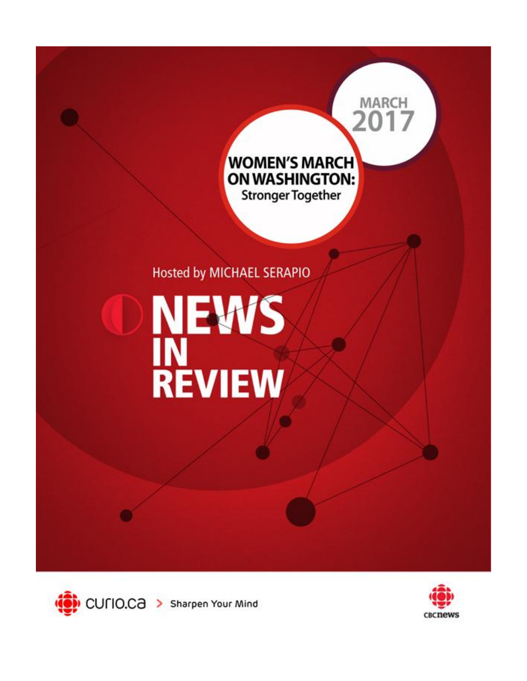



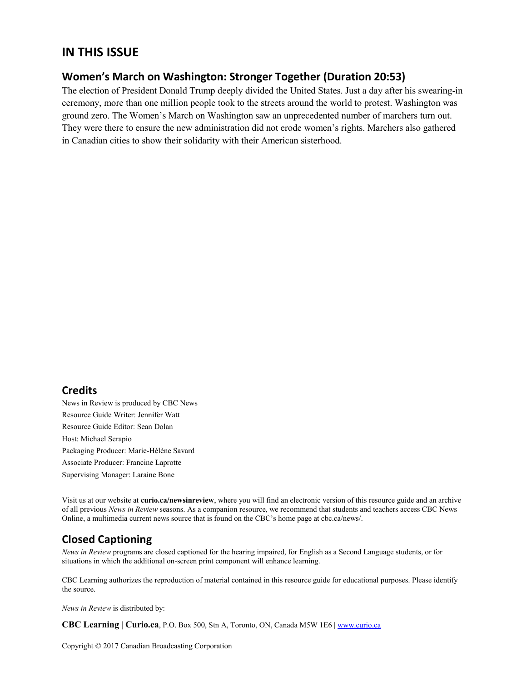# **IN THIS ISSUE**

#### **Women's March on Washington: Stronger Together (Duration 20:53)**

The election of President Donald Trump deeply divided the United States. Just a day after his swearing-in ceremony, more than one million people took to the streets around the world to protest. Washington was ground zero. The Women's March on Washington saw an unprecedented number of marchers turn out. They were there to ensure the new administration did not erode women's rights. Marchers also gathered in Canadian cities to show their solidarity with their American sisterhood.

#### **Credits**

News in Review is produced by CBC News Resource Guide Writer: Jennifer Watt Resource Guide Editor: Sean Dolan Host: Michael Serapio Packaging Producer: Marie-Hélène Savard Associate Producer: Francine Laprotte Supervising Manager: Laraine Bone

Visit us at our website at **curio.ca/newsinreview**, where you will find an electronic version of this resource guide and an archive of all previous *News in Review* seasons. As a companion resource, we recommend that students and teachers access CBC News Online, a multimedia current news source that is found on the CBC's home page at cbc.ca/news/.

# **Closed Captioning**

*News in Review* programs are closed captioned for the hearing impaired, for English as a Second Language students, or for situations in which the additional on-screen print component will enhance learning.

CBC Learning authorizes the reproduction of material contained in this resource guide for educational purposes. Please identify the source.

*News in Review* is distributed by:

**CBC Learning | Curio.ca**, P.O. Box 500, Stn A, Toronto, ON, Canada M5W 1E6 | www.curio.ca

Copyright © 2017 Canadian Broadcasting Corporation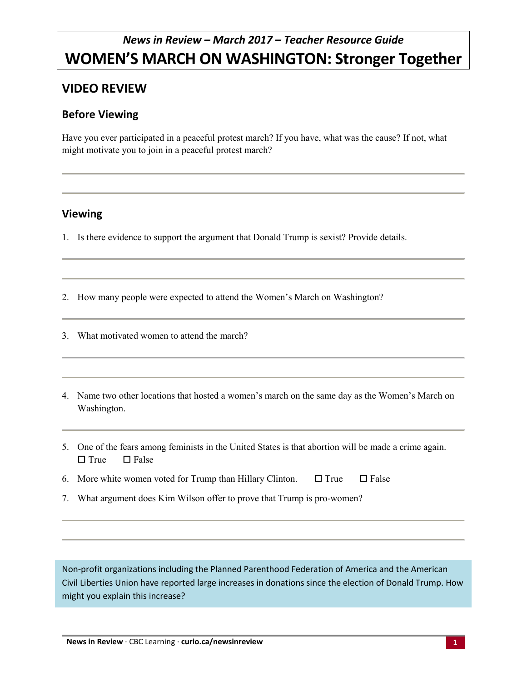# *News in Review – March 2017 – Teacher Resource Guide* **WOMEN'S MARCH ON WASHINGTON: Stronger Together**

# **VIDEO REVIEW**

#### **Before Viewing**

Have you ever participated in a peaceful protest march? If you have, what was the cause? If not, what might motivate you to join in a peaceful protest march?

### **Viewing**

1. Is there evidence to support the argument that Donald Trump is sexist? Provide details.

2. How many people were expected to attend the Women's March on Washington?

3. What motivated women to attend the march?

- 4. Name two other locations that hosted a women's march on the same day as the Women's March on Washington.
- 5. One of the fears among feminists in the United States is that abortion will be made a crime again.  $\square$  True  $\square$  False
- 6. More white women voted for Trump than Hillary Clinton.  $\Box$  True  $\Box$  False
- 7. What argument does Kim Wilson offer to prove that Trump is pro-women?

Non-profit organizations including the Planned Parenthood Federation of America and the American Civil Liberties Union have reported large increases in donations since the election of Donald Trump. How might you explain this increase?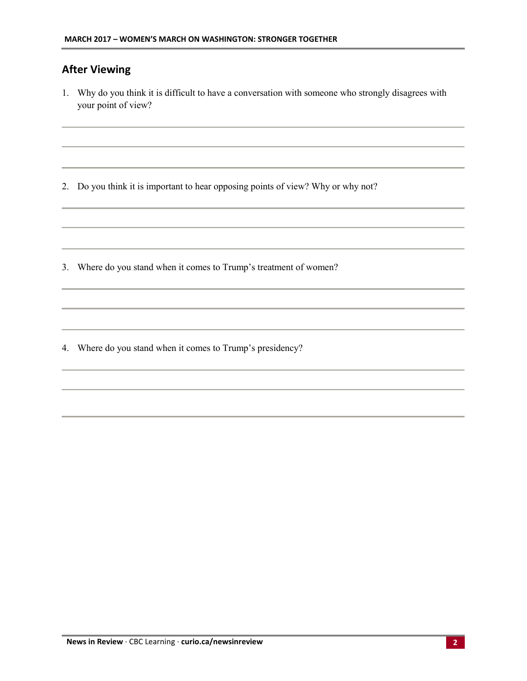# **After Viewing**

1. Why do you think it is difficult to have a conversation with someone who strongly disagrees with your point of view?

2. Do you think it is important to hear opposing points of view? Why or why not?

3. Where do you stand when it comes to Trump's treatment of women?

4. Where do you stand when it comes to Trump's presidency?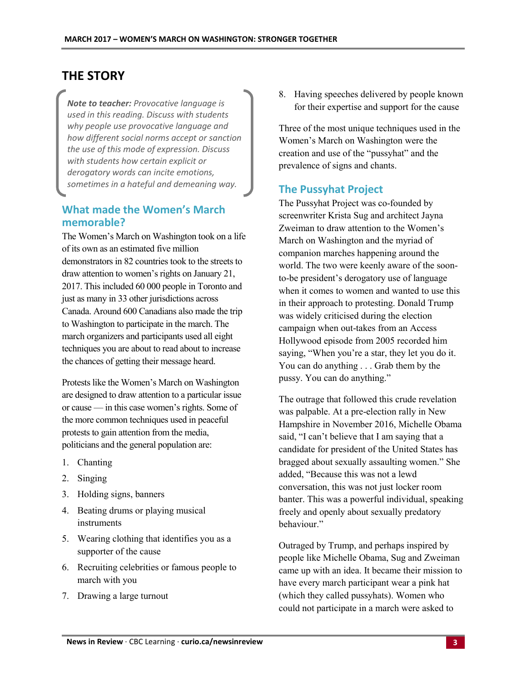# **THE STORY**

*Note to teacher: Provocative language is used in this reading. Discuss with students why people use provocative language and how different social norms accept or sanction the use of this mode of expression. Discuss with students how certain explicit or derogatory words can incite emotions, sometimes in a hateful and demeaning way.*

### **What made the Women's March memorable?**

The Women's March on Washington took on a life of its own as an estimated five million demonstrators in 82 countries took to the streets to draw attention to women's rights on January 21, 2017. This included 60 000 people in Toronto and just as many in 33 other jurisdictions across Canada. Around 600 Canadians also made the trip to Washington to participate in the march. The march organizers and participants used all eight techniques you are about to read about to increase the chances of getting their message heard.

Protests like the Women's March on Washington are designed to draw attention to a particular issue or cause — in this case women's rights. Some of the more common techniques used in peaceful protests to gain attention from the media, politicians and the general population are:

- 1. Chanting
- 2. Singing
- 3. Holding signs, banners
- 4. Beating drums or playing musical instruments
- 5. Wearing clothing that identifies you as a supporter of the cause
- 6. Recruiting celebrities or famous people to march with you
- 7. Drawing a large turnout

8. Having speeches delivered by people known for their expertise and support for the cause

Three of the most unique techniques used in the Women's March on Washington were the creation and use of the "pussyhat" and the prevalence of signs and chants.

#### **The Pussyhat Project**

The Pussyhat Project was co-founded by screenwriter Krista Sug and architect Jayna Zweiman to draw attention to the Women's March on Washington and the myriad of companion marches happening around the world. The two were keenly aware of the soonto-be president's derogatory use of language when it comes to women and wanted to use this in their approach to protesting. Donald Trump was widely criticised during the election campaign when out-takes from an Access Hollywood episode from 2005 recorded him saying, "When you're a star, they let you do it. You can do anything . . . Grab them by the pussy. You can do anything."

The outrage that followed this crude revelation was palpable. At a pre-election rally in New Hampshire in November 2016, Michelle Obama said, "I can't believe that I am saying that a candidate for president of the United States has bragged about sexually assaulting women." She added, "Because this was not a lewd conversation, this was not just locker room banter. This was a powerful individual, speaking freely and openly about sexually predatory behaviour."

Outraged by Trump, and perhaps inspired by people like Michelle Obama, Sug and Zweiman came up with an idea. It became their mission to have every march participant wear a pink hat (which they called pussyhats). Women who could not participate in a march were asked to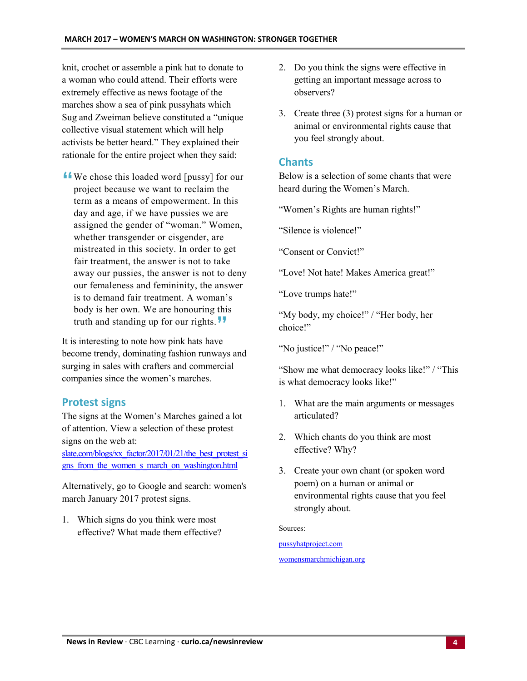knit, crochet or assemble a pink hat to donate to a woman who could attend. Their efforts were extremely effective as news footage of the marches show a sea of pink pussyhats which Sug and Zweiman believe constituted a "unique collective visual statement which will help activists be better heard." They explained their rationale for the entire project when they said:

**"** We chose this loaded word [pussy] for our project because we want to reclaim the term as a means of empowerment. In this day and age, if we have pussies we are assigned the gender of "woman." Women, whether transgender or cisgender, are mistreated in this society. In order to get fair treatment, the answer is not to take away our pussies, the answer is not to deny our femaleness and femininity, the answer is to demand fair treatment. A woman's body is her own. We are honouring this truth and standing up for our rights. **"**

It is interesting to note how pink hats have become trendy, dominating fashion runways and surging in sales with crafters and commercial companies since the women's marches.

#### **Protest signs**

The signs at the Women's Marches gained a lot of attention. View a selection of these protest signs on the web at:

slate.com/blogs/xx\_factor/2017/01/21/the\_best\_protest\_si gns\_from\_the\_women\_s\_march\_on\_washington.html

Alternatively, go to Google and search: women's march January 2017 protest signs.

1. Which signs do you think were most effective? What made them effective?

- 2. Do you think the signs were effective in getting an important message across to observers?
- 3. Create three (3) protest signs for a human or animal or environmental rights cause that you feel strongly about.

#### **Chants**

Below is a selection of some chants that were heard during the Women's March.

"Women's Rights are human rights!"

"Silence is violence!"

"Consent or Convict!"

"Love! Not hate! Makes America great!"

"Love trumps hate!"

"My body, my choice!" / "Her body, her choice!"

"No justice!" / "No peace!"

"Show me what democracy looks like!" / "This is what democracy looks like!"

- 1. What are the main arguments or messages articulated?
- 2. Which chants do you think are most effective? Why?
- 3. Create your own chant (or spoken word poem) on a human or animal or environmental rights cause that you feel strongly about.

Sources:

pussyhatproject.com womensmarchmichigan.org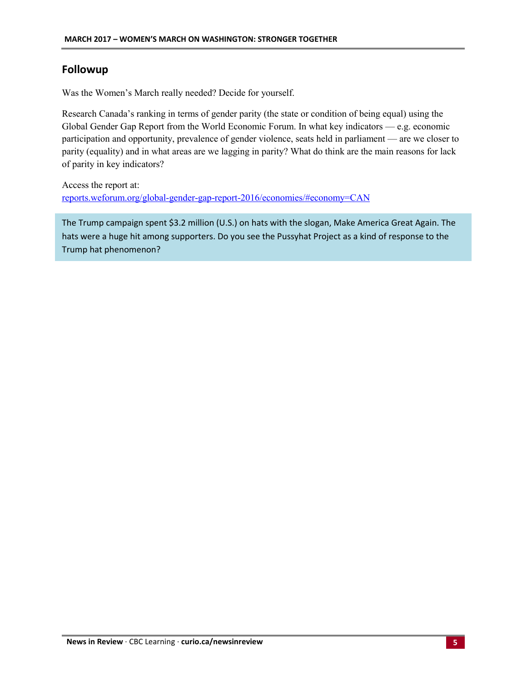#### **Followup**

Was the Women's March really needed? Decide for yourself.

Research Canada's ranking in terms of gender parity (the state or condition of being equal) using the Global Gender Gap Report from the World Economic Forum. In what key indicators — e.g. economic participation and opportunity, prevalence of gender violence, seats held in parliament — are we closer to parity (equality) and in what areas are we lagging in parity? What do think are the main reasons for lack of parity in key indicators?

Access the report at: reports.weforum.org/global-gender-gap-report-2016/economies/#economy=CAN

The Trump campaign spent \$3.2 million (U.S.) on hats with the slogan, Make America Great Again. The hats were a huge hit among supporters. Do you see the Pussyhat Project as a kind of response to the Trump hat phenomenon?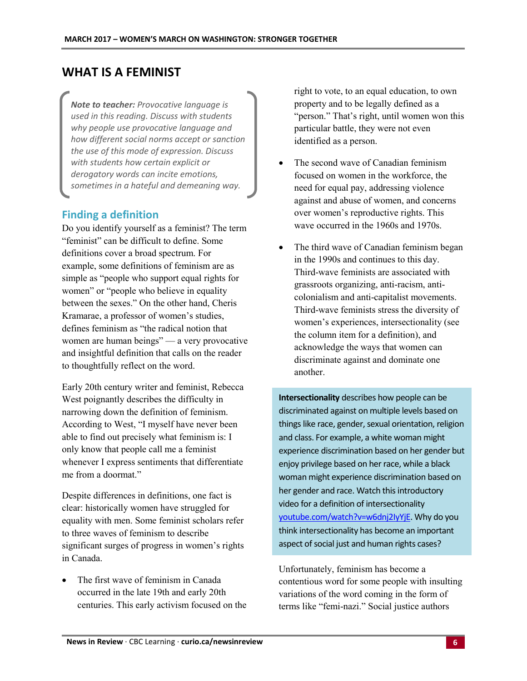# **WHAT IS A FEMINIST**

*Note to teacher: Provocative language is used in this reading. Discuss with students why people use provocative language and how different social norms accept or sanction the use of this mode of expression. Discuss with students how certain explicit or derogatory words can incite emotions, sometimes in a hateful and demeaning way.*

#### **Finding a definition**

Do you identify yourself as a feminist? The term "feminist" can be difficult to define. Some definitions cover a broad spectrum. For example, some definitions of feminism are as simple as "people who support equal rights for women" or "people who believe in equality between the sexes." On the other hand, Cheris Kramarae, a professor of women's studies, defines feminism as "the radical notion that women are human beings" — a very provocative and insightful definition that calls on the reader to thoughtfully reflect on the word.

Early 20th century writer and feminist, Rebecca West poignantly describes the difficulty in narrowing down the definition of feminism. According to West, "I myself have never been able to find out precisely what feminism is: I only know that people call me a feminist whenever I express sentiments that differentiate me from a doormat."

Despite differences in definitions, one fact is clear: historically women have struggled for equality with men. Some feminist scholars refer to three waves of feminism to describe significant surges of progress in women's rights in Canada.

 The first wave of feminism in Canada occurred in the late 19th and early 20th centuries. This early activism focused on the right to vote, to an equal education, to own property and to be legally defined as a "person." That's right, until women won this particular battle, they were not even identified as a person.

- The second wave of Canadian feminism focused on women in the workforce, the need for equal pay, addressing violence against and abuse of women, and concerns over women's reproductive rights. This wave occurred in the 1960s and 1970s.
- The third wave of Canadian feminism began in the 1990s and continues to this day. Third-wave feminists are associated with grassroots organizing, anti-racism, anticolonialism and anti-capitalist movements. Third-wave feminists stress the diversity of women's experiences, intersectionality (see the column item for a definition), and acknowledge the ways that women can discriminate against and dominate one another.

**Intersectionality** describes how people can be discriminated against on multiple levels based on things like race, gender, sexual orientation, religion and class. For example, a white woman might experience discrimination based on her gender but enjoy privilege based on her race, while a black woman might experience discrimination based on her gender and race. Watch this introductory video for a definition of intersectionality youtube.com/watch?v=w6dnj2IyYjE. Why do you think intersectionality has become an important aspect of social just and human rights cases?

Unfortunately, feminism has become a contentious word for some people with insulting variations of the word coming in the form of terms like "femi-nazi." Social justice authors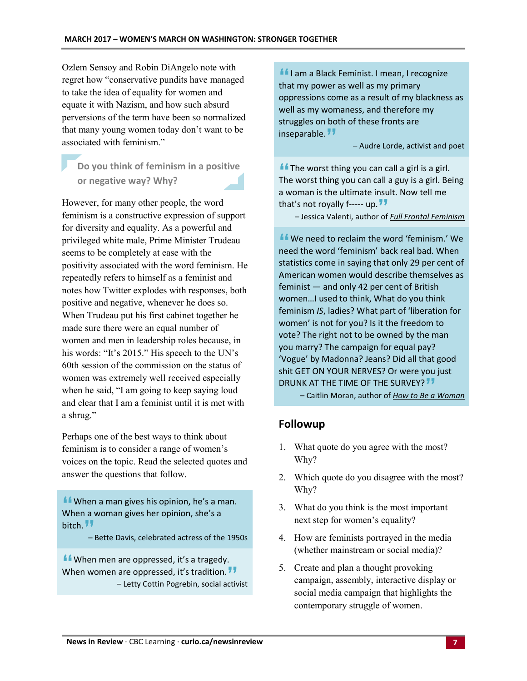Ozlem Sensoy and Robin DiAngelo note with regret how "conservative pundits have managed to take the idea of equality for women and equate it with Nazism, and how such absurd perversions of the term have been so normalized that many young women today don't want to be associated with feminism."

# **Do you think of feminism in a positive or negative way? Why?**

However, for many other people, the word feminism is a constructive expression of support for diversity and equality. As a powerful and privileged white male, Prime Minister Trudeau seems to be completely at ease with the positivity associated with the word feminism. He repeatedly refers to himself as a feminist and notes how Twitter explodes with responses, both positive and negative, whenever he does so. When Trudeau put his first cabinet together he made sure there were an equal number of women and men in leadership roles because, in his words: "It's 2015." His speech to the UN's 60th session of the commission on the status of women was extremely well received especially when he said, "I am going to keep saying loud and clear that I am a feminist until it is met with a shrug."

Perhaps one of the best ways to think about feminism is to consider a range of women's voices on the topic. Read the selected quotes and answer the questions that follow.

**"**When a man gives his opinion, he's a man. When a woman gives her opinion, she's a bitch.

**"**– Bette Davis, celebrated actress of the 1950s

**"**When men are oppressed, it's a tragedy. When women are oppressed, it's tradition. are oppressed, it's tradition.<sup>77</sup><br>- Letty Cottin Pogrebin, social activist

**"**I am a Black Feminist. I mean, I recognize that my power as well as my primary oppressions come as a result of my blackness as well as my womaness, and therefore my struggles on both of these fronts are inseparable.<sup>11</sup>

**"** – Audre Lorde, activist and poet

**"**The worst thing you can call a girl is a girl. The worst thing you can call a guy is a girl. Being a woman is the ultimate insult. Now tell me that's not royally f----- up. – Jessica Valenti, author **"** of *Full Frontal Feminism*

**I** We need to reclaim the word 'feminism.' We need the word 'feminism' back real bad. When statistics come in saying that only 29 per cent of American women would describe themselves as feminist — and only 42 per cent of British women…I used to think, What do you think feminism *IS*, ladies? What part of 'liberation for women' is not for you? Is it the freedom to vote? The right not to be owned by the man you marry? The campaign for equal pay? 'Vogue' by Madonna? Jeans? Did all that good shit GET ON YOUR NERVES? Or were you just DRUNK AT THE TIME OF THE SURVEY? **"**

– Caitlin Moran, author of *How to Be a Woman*

# **Followup**

- 1. What quote do you agree with the most? Why?
- 2. Which quote do you disagree with the most? Why?
- 3. What do you think is the most important next step for women's equality?
- 4. How are feminists portrayed in the media (whether mainstream or social media)?
- 5. Create and plan a thought provoking campaign, assembly, interactive display or social media campaign that highlights the contemporary struggle of women.